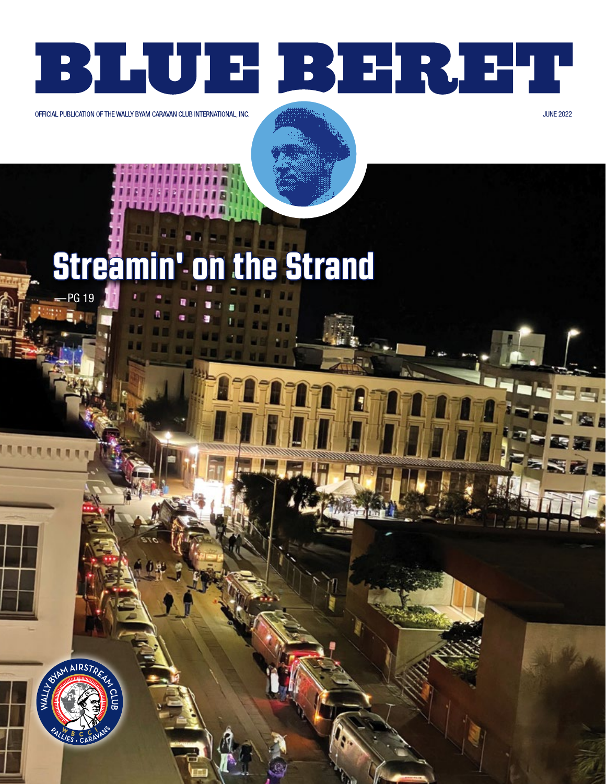# BLUE BEREI

OFFICIAL PUBLICATION OF THE WALLY BYAM CARAVAN CLUB INTERNATIONAL, INC.

**JUNE 2022** 

## **'on the Strand Stream PG 19**

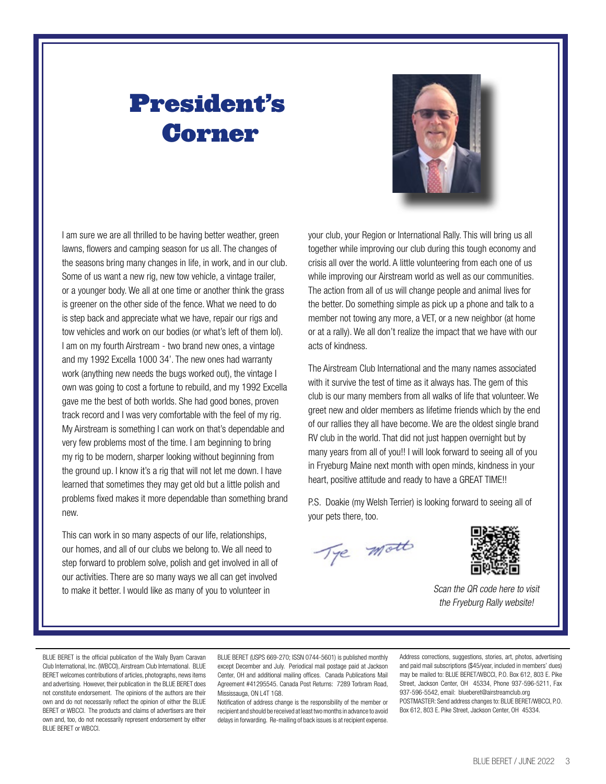# President's Corner



I am sure we are all thrilled to be having better weather, green lawns, flowers and camping season for us all. The changes of the seasons bring many changes in life, in work, and in our club. Some of us want a new rig, new tow vehicle, a vintage trailer, or a younger body. We all at one time or another think the grass is greener on the other side of the fence. What we need to do is step back and appreciate what we have, repair our rigs and tow vehicles and work on our bodies (or what's left of them lol). I am on my fourth Airstream - two brand new ones, a vintage and my 1992 Excella 1000 34'. The new ones had warranty work (anything new needs the bugs worked out), the vintage I own was going to cost a fortune to rebuild, and my 1992 Excella gave me the best of both worlds. She had good bones, proven track record and I was very comfortable with the feel of my rig. My Airstream is something I can work on that's dependable and very few problems most of the time. I am beginning to bring my rig to be modern, sharper looking without beginning from the ground up. I know it's a rig that will not let me down. I have learned that sometimes they may get old but a little polish and problems fixed makes it more dependable than something brand new.

This can work in so many aspects of our life, relationships, our homes, and all of our clubs we belong to. We all need to step forward to problem solve, polish and get involved in all of our activities. There are so many ways we all can get involved to make it better. I would like as many of you to volunteer in Scan the QR code here to visit

your club, your Region or International Rally. This will bring us all together while improving our club during this tough economy and crisis all over the world. A little volunteering from each one of us while improving our Airstream world as well as our communities. The action from all of us will change people and animal lives for the better. Do something simple as pick up a phone and talk to a member not towing any more, a VET, or a new neighbor (at home or at a rally). We all don't realize the impact that we have with our acts of kindness.

The Airstream Club International and the many names associated with it survive the test of time as it always has. The gem of this club is our many members from all walks of life that volunteer. We greet new and older members as lifetime friends which by the end of our rallies they all have become. We are the oldest single brand RV club in the world. That did not just happen overnight but by many years from all of you!! I will look forward to seeing all of you in Fryeburg Maine next month with open minds, kindness in your heart, positive attitude and ready to have a GREAT TIME!!

P.S. Doakie (my Welsh Terrier) is looking forward to seeing all of your pets there, too.

Tye mott



the Fryeburg Rally website!

BLUE BERET is the official publication of the Wally Byam Caravan Club International, Inc. (WBCCI), Airstream Club International. BLUE BERET welcomes contributions of articles, photographs, news items and advertising. However, their publication in the BLUE BERET does not constitute endorsement. The opinions of the authors are their own and do not necessarily reflect the opinion of either the BLUE BERET or WBCCI. The products and claims of advertisers are their own and, too, do not necessarily represent endorsement by either BLUE BERET or WBCCI.

BLUE BERET (USPS 669-270; ISSN 0744-5601) is published monthly except December and July. Periodical mail postage paid at Jackson Center, OH and additional mailing offices. Canada Publications Mail Agreement #41295545. Canada Post Returns: 7289 Torbram Road, Mississauga, ON L4T 1G8.

Notification of address change is the responsibility of the member or recipient and should be received at least two months in advance to avoid delays in forwarding. Re-mailing of back issues is at recipient expense.

Address corrections, suggestions, stories, art, photos, advertising and paid mail subscriptions (\$45/year, included in members' dues) may be mailed to: BLUE BERET/WBCCI, P.O. Box 612, 803 E. Pike Street, Jackson Center, OH 45334, Phone 937-596-5211, Fax 937-596-5542, email: blueberet[@airstreamclub.org](mailto:blueberet%40airstreamclub.org?subject=) POSTMASTER: Send address changes to: BLUE BERET/WBCCI, P.O. Box 612, 803 E. Pike Street, Jackson Center, OH 45334.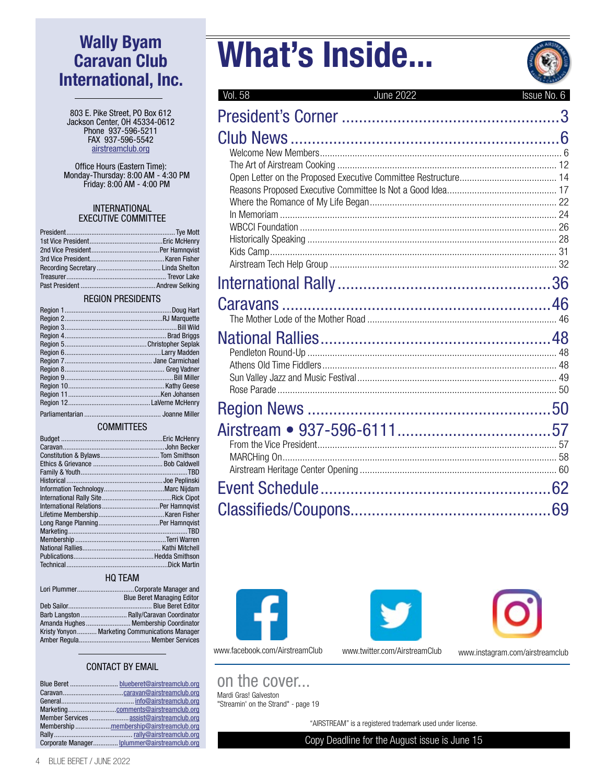# Wally Byam Caravan Club International, Inc.

803 E. Pike Street, PO Box 612 Jackson Center, OH 45334-0612 Phone 937-596-5211 FAX 937-596-5542 [airstreamclub.org](http://airstreamclub.org)

Office Hours (Eastern Time): Monday-Thursday: 8:00 AM - 4:30 PM Friday: 8:00 AM - 4:00 PM

#### INTERNATIONAL EXECUTIVE COMMITTEE

#### REGION PRESIDENTS

#### **COMMITTEES**

#### HQ TEAM

| Lori PlummerCorporate Manager and              |
|------------------------------------------------|
| <b>Blue Beret Managing Editor</b>              |
|                                                |
| Barb Langston  Rally/Caravan Coordinator       |
| Amanda Hughes  Membership Coordinator          |
| Kristy Yonyon Marketing Communications Manager |
|                                                |
|                                                |

#### CONTACT BY EMAIL

| Member Services  assist@airstreamclub.org    |
|----------------------------------------------|
| Membershipmembership@airstreamclub.org       |
|                                              |
| Corporate Manager Iplummer@airstreamclub.org |

# What's Inside...



| Vol. 58<br><b>June 2022</b> | Issue No. 6 |
|-----------------------------|-------------|
|                             | 3           |
|                             |             |
|                             |             |
|                             |             |
|                             |             |
|                             |             |
|                             |             |
|                             |             |
|                             |             |
|                             |             |
|                             |             |
|                             |             |
|                             |             |
|                             |             |
|                             |             |
|                             |             |
|                             |             |
|                             |             |
|                             |             |
|                             |             |
|                             |             |
|                             |             |
|                             |             |
|                             |             |
|                             |             |
|                             |             |
|                             |             |
|                             | 69          |







www.facebook.com/AirstreamClub www.twitter.com/AirstreamClub www.instagram.com/airstreamclub

on the cover...

Mardi Gras! Galveston "Streamin' on the Strand" - page 19

"AIRSTREAM" is a registered trademark used under license.

Copy Deadline for the August issue is June 15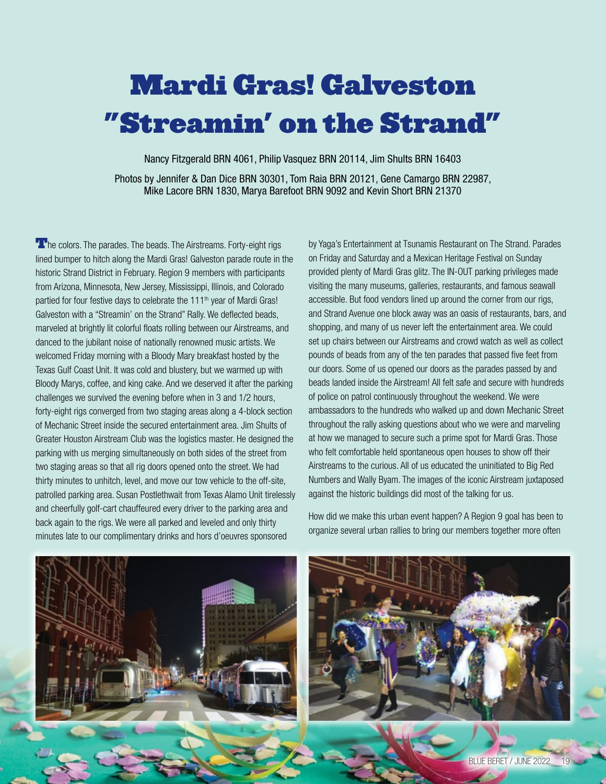# Mardi Gras! Galveston "Streamin' on the Strand"

Nancy Fitzgerald BRN 4061, Philip Vasquez BRN 20114, Jim Shults BRN 16403 Photos by Jennifer & Dan Dice BRN 30301, Tom Raia BRN 20121, Gene Camargo BRN 22987, Mike Lacore BRN 1830, Marya Barefoot BRN 9092 and Kevin Short BRN 21370

**The colors.** The parades. The beads. The Airstreams. Forty-eight rigs lined bumper to hitch along the Mardi Gras! Galveston parade route in the historic Strand District in February. Region 9 members with participants from Arizona, Minnesota, New Jersey, Mississippi, Illinois, and Colorado partied for four festive days to celebrate the 111<sup>th</sup> year of Mardi Gras! Galveston with a "Streamin' on the Strand" Rally. We deflected beads, marveled at brightly lit colorful floats rolling between our Airstreams, and danced to the jubilant noise of nationally renowned music artists. We welcomed Friday morning with a Bloody Mary breakfast hosted by the Texas Gulf Coast Unit. It was cold and blustery, but we warmed up with Bloody Marys, coffee, and king cake. And we deserved it after the parking challenges we survived the evening before when in 3 and 1/2 hours, forty-eight rigs converged from two staging areas along a 4-block section of Mechanic Street inside the secured entertainment area. Jim Shults of Greater Houston Airstream Club was the logistics master. He designed the parking with us merging simultaneously on both sides of the street from two staging areas so that all rig doors opened onto the street. We had thirty minutes to unhitch, level, and move our tow vehicle to the off-site, patrolled parking area. Susan Postlethwait from Texas Alamo Unit tirelessly and cheerfully golf-cart chauffeured every driver to the parking area and back again to the rigs. We were all parked and leveled and only thirty minutes late to our complimentary drinks and hors d'oeuvres sponsored

by Yaga's Entertainment at Tsunamis Restaurant on The Strand. Parades on Friday and Saturday and a Mexican Heritage Festival on Sunday provided plenty of Mardi Gras glitz. The IN-OUT parking privileges made visiting the many museums, galleries, restaurants, and famous seawall accessible. But food vendors lined up around the corner from our rigs, and Strand Avenue one block away was an oasis of restaurants, bars, and shopping, and many of us never left the entertainment area. We could set up chairs between our Airstreams and crowd watch as well as collect pounds of beads from any of the ten parades that passed five feet from our doors. Some of us opened our doors as the parades passed by and beads landed inside the Airstream! All felt safe and secure with hundreds of police on patrol continuously throughout the weekend. We were ambassadors to the hundreds who walked up and down Mechanic Street throughout the rally asking questions about who we were and marveling at how we managed to secure such a prime spot for Mardi Gras. Those who felt comfortable held spontaneous open houses to show off their Airstreams to the curious. All of us educated the uninitiated to Big Red Numbers and Wally Byam. The images of the iconic Airstream juxtaposed against the historic buildings did most of the talking for us.



How did we make this urban event happen? A Region 9 goal has been to organize several urban rallies to bring our members together more often



BLUE BERET / JUNE 2022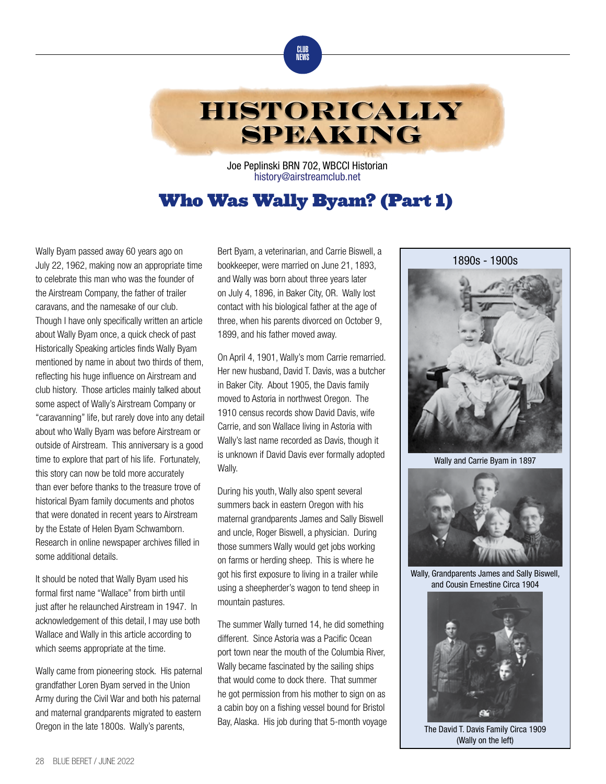



Joe Peplinski BRN 702, WBCCI Historian [history@](mailto:history%40airstreamclub.net?subject=)airstreamclub.net

### Who Was Wally Byam? (Part 1)

Wally Byam passed away 60 years ago on July 22, 1962, making now an appropriate time to celebrate this man who was the founder of the Airstream Company, the father of trailer caravans, and the namesake of our club. Though I have only specifically written an article about Wally Byam once, a quick check of past Historically Speaking articles finds Wally Byam mentioned by name in about two thirds of them, reflecting his huge influence on Airstream and club history. Those articles mainly talked about some aspect of Wally's Airstream Company or "caravanning" life, but rarely dove into any detail about who Wally Byam was before Airstream or outside of Airstream. This anniversary is a good time to explore that part of his life. Fortunately, this story can now be told more accurately than ever before thanks to the treasure trove of historical Byam family documents and photos that were donated in recent years to Airstream by the Estate of Helen Byam Schwamborn. Research in online newspaper archives filled in some additional details.

It should be noted that Wally Byam used his formal first name "Wallace" from birth until just after he relaunched Airstream in 1947. In acknowledgement of this detail, I may use both Wallace and Wally in this article according to which seems appropriate at the time.

Wally came from pioneering stock. His paternal grandfather Loren Byam served in the Union Army during the Civil War and both his paternal and maternal grandparents migrated to eastern Oregon in the late 1800s. Wally's parents,

Bert Byam, a veterinarian, and Carrie Biswell, a bookkeeper, were married on June 21, 1893, and Wally was born about three years later on July 4, 1896, in Baker City, OR. Wally lost contact with his biological father at the age of three, when his parents divorced on October 9, 1899, and his father moved away.

On April 4, 1901, Wally's mom Carrie remarried. Her new husband, David T. Davis, was a butcher in Baker City. About 1905, the Davis family moved to Astoria in northwest Oregon. The 1910 census records show David Davis, wife Carrie, and son Wallace living in Astoria with Wally's last name recorded as Davis, though it is unknown if David Davis ever formally adopted Wally.

During his youth, Wally also spent several summers back in eastern Oregon with his maternal grandparents James and Sally Biswell and uncle, Roger Biswell, a physician. During those summers Wally would get jobs working on farms or herding sheep. This is where he got his first exposure to living in a trailer while using a sheepherder's wagon to tend sheep in mountain pastures.

The summer Wally turned 14, he did something different. Since Astoria was a Pacific Ocean port town near the mouth of the Columbia River, Wally became fascinated by the sailing ships that would come to dock there. That summer he got permission from his mother to sign on as a cabin boy on a fishing vessel bound for Bristol Bay, Alaska. His job during that 5-month voyage



Wally and Carrie Byam in 1897



Wally, Grandparents James and Sally Biswell, and Cousin Ernestine Circa 1904



The David T. Davis Family Circa 1909 (Wally on the left)